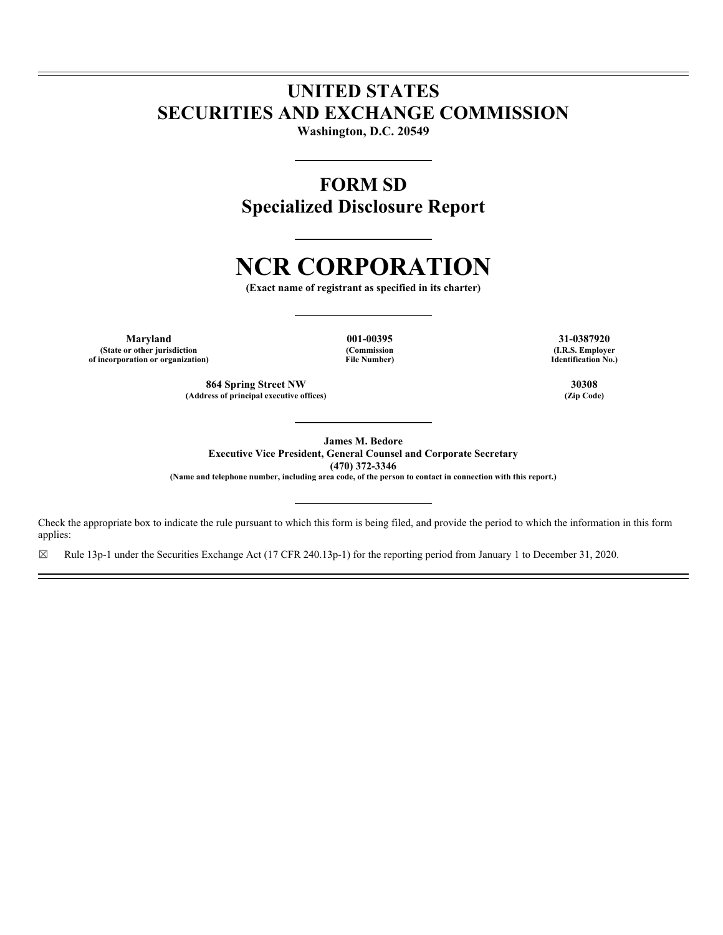## **UNITED STATES SECURITIES AND EXCHANGE COMMISSION**

**Washington, D.C. 20549** 

### **FORM SD Specialized Disclosure Report**

# **NCR CORPORATION**

**(Exact name of registrant as specified in its charter)** 

**Maryland 001-00395 31-0387920 (State or other jurisdiction of incorporation or organization)**

**(Commission File Number)**

**(I.R.S. Employer Identification No.)**

**864 Spring Street NW** 30308<br> **1988** Triangle Street AW 30308<br> **1989** (Zip Code)

**James M. Bedore Executive Vice President, General Counsel and Corporate Secretary (470) 372-3346 (Name and telephone number, including area code, of the person to contact in connection with this report.)** 

Check the appropriate box to indicate the rule pursuant to which this form is being filed, and provide the period to which the information in this form applies:

 $\boxtimes$  Rule 13p-1 under the Securities Exchange Act (17 CFR 240.13p-1) for the reporting period from January 1 to December 31, 2020.

(Address of principal executive offices)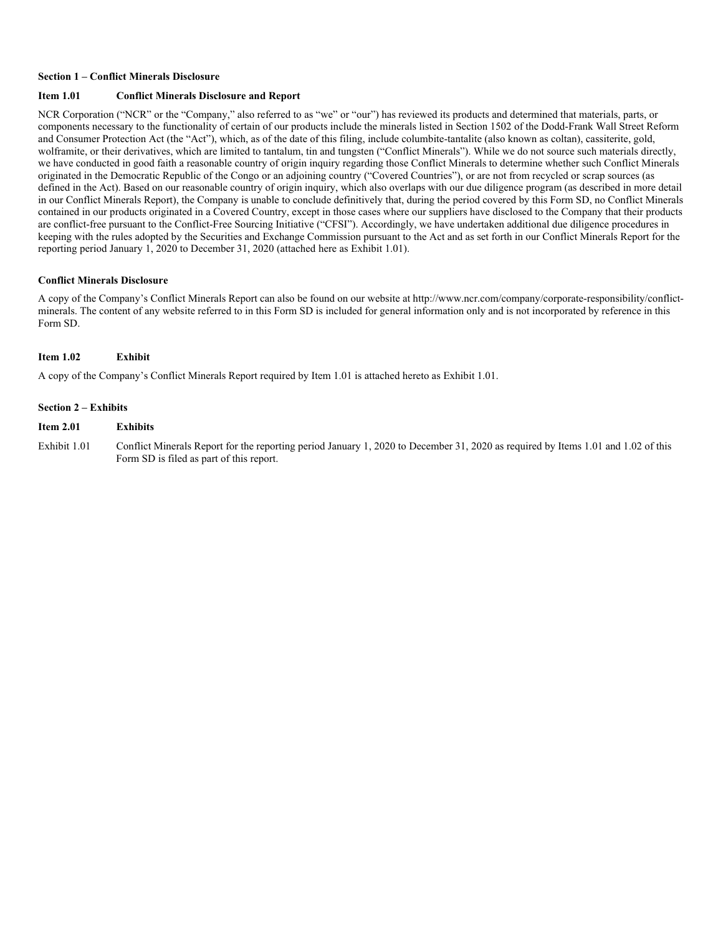#### **Section 1 – Conflict Minerals Disclosure**

#### **Item 1.01 Conflict Minerals Disclosure and Report**

NCR Corporation ("NCR" or the "Company," also referred to as "we" or "our") has reviewed its products and determined that materials, parts, or components necessary to the functionality of certain of our products include the minerals listed in Section 1502 of the Dodd-Frank Wall Street Reform and Consumer Protection Act (the "Act"), which, as of the date of this filing, include columbite-tantalite (also known as coltan), cassiterite, gold, wolframite, or their derivatives, which are limited to tantalum, tin and tungsten ("Conflict Minerals"). While we do not source such materials directly, we have conducted in good faith a reasonable country of origin inquiry regarding those Conflict Minerals to determine whether such Conflict Minerals originated in the Democratic Republic of the Congo or an adjoining country ("Covered Countries"), or are not from recycled or scrap sources (as defined in the Act). Based on our reasonable country of origin inquiry, which also overlaps with our due diligence program (as described in more detail in our Conflict Minerals Report), the Company is unable to conclude definitively that, during the period covered by this Form SD, no Conflict Minerals contained in our products originated in a Covered Country, except in those cases where our suppliers have disclosed to the Company that their products are conflict-free pursuant to the Conflict-Free Sourcing Initiative ("CFSI"). Accordingly, we have undertaken additional due diligence procedures in keeping with the rules adopted by the Securities and Exchange Commission pursuant to the Act and as set forth in our Conflict Minerals Report for the reporting period January 1, 2020 to December 31, 2020 (attached here as Exhibit 1.01).

#### **Conflict Minerals Disclosure**

A copy of the Company's Conflict Minerals Report can also be found on our website at http://www.ncr.com/company/corporate-responsibility/conflictminerals. The content of any website referred to in this Form SD is included for general information only and is not incorporated by reference in this Form SD.

#### **Item 1.02 Exhibit**

A copy of the Company's Conflict Minerals Report required by Item 1.01 is attached hereto as Exhibit 1.01.

#### **Section 2 – Exhibits**

#### **Item 2.01 Exhibits**

Exhibit 1.01 Conflict Minerals Report for the reporting period January 1, 2020 to December 31, 2020 as required by Items 1.01 and 1.02 of this Form SD is filed as part of this report.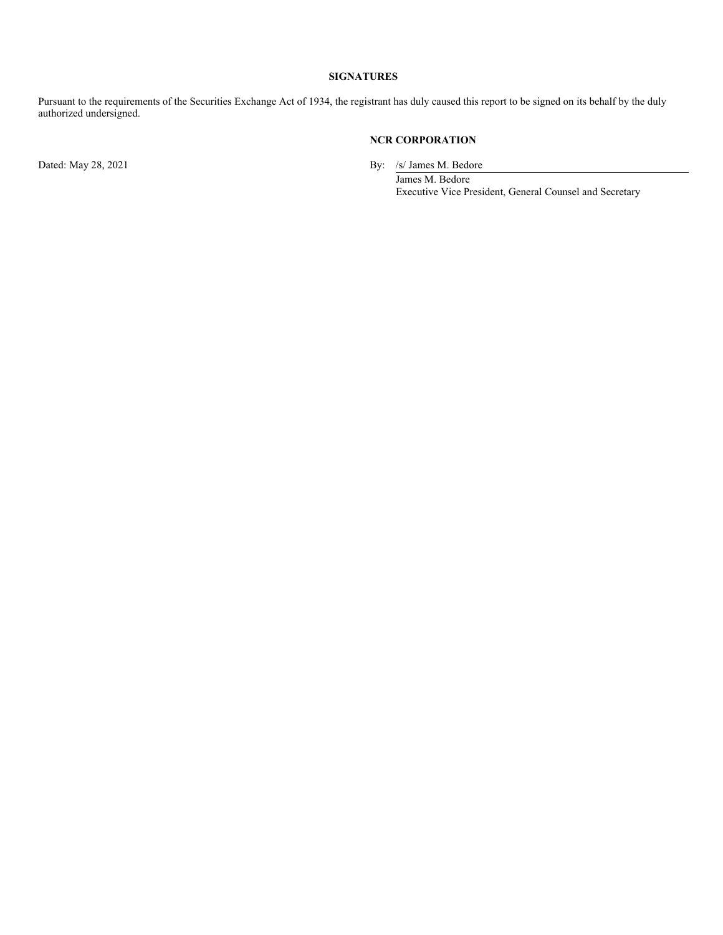#### **SIGNATURES**

Pursuant to the requirements of the Securities Exchange Act of 1934, the registrant has duly caused this report to be signed on its behalf by the duly authorized undersigned.

#### **NCR CORPORATION**

Dated: May 28, 2021 By: /s/ James M. Bedore

James M. Bedore Executive Vice President, General Counsel and Secretary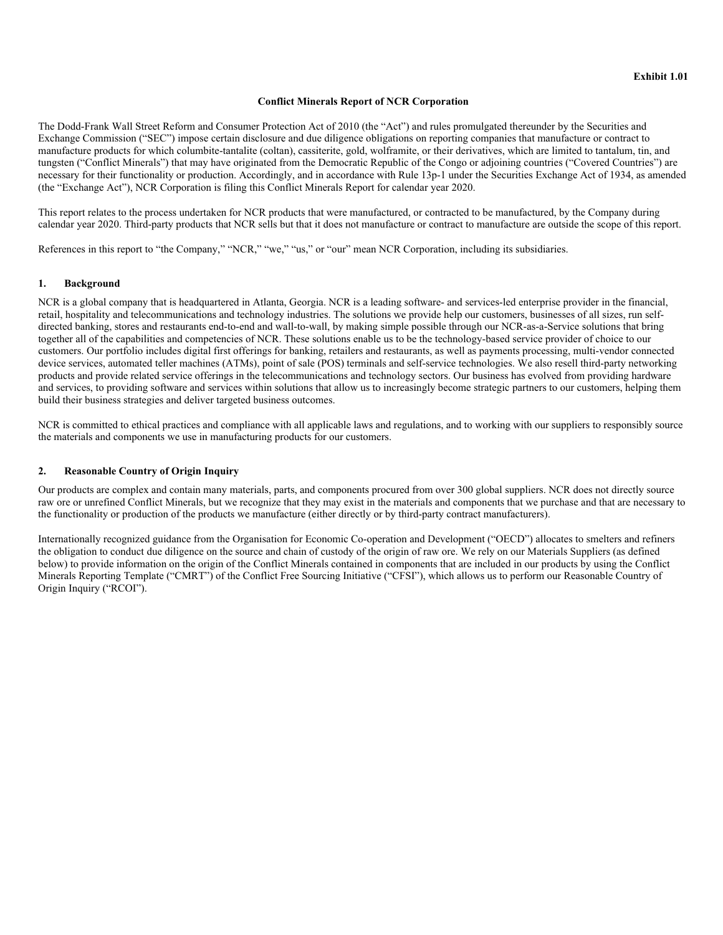#### **Conflict Minerals Report of NCR Corporation**

The Dodd-Frank Wall Street Reform and Consumer Protection Act of 2010 (the "Act") and rules promulgated thereunder by the Securities and Exchange Commission ("SEC") impose certain disclosure and due diligence obligations on reporting companies that manufacture or contract to manufacture products for which columbite-tantalite (coltan), cassiterite, gold, wolframite, or their derivatives, which are limited to tantalum, tin, and tungsten ("Conflict Minerals") that may have originated from the Democratic Republic of the Congo or adjoining countries ("Covered Countries") are necessary for their functionality or production. Accordingly, and in accordance with Rule 13p-1 under the Securities Exchange Act of 1934, as amended (the "Exchange Act"), NCR Corporation is filing this Conflict Minerals Report for calendar year 2020.

This report relates to the process undertaken for NCR products that were manufactured, or contracted to be manufactured, by the Company during calendar year 2020. Third-party products that NCR sells but that it does not manufacture or contract to manufacture are outside the scope of this report.

References in this report to "the Company," "NCR," "we," "us," or "our" mean NCR Corporation, including its subsidiaries.

#### **1. Background**

NCR is a global company that is headquartered in Atlanta, Georgia. NCR is a leading software- and services-led enterprise provider in the financial, retail, hospitality and telecommunications and technology industries. The solutions we provide help our customers, businesses of all sizes, run selfdirected banking, stores and restaurants end-to-end and wall-to-wall, by making simple possible through our NCR-as-a-Service solutions that bring together all of the capabilities and competencies of NCR. These solutions enable us to be the technology-based service provider of choice to our customers. Our portfolio includes digital first offerings for banking, retailers and restaurants, as well as payments processing, multi-vendor connected device services, automated teller machines (ATMs), point of sale (POS) terminals and self-service technologies. We also resell third-party networking products and provide related service offerings in the telecommunications and technology sectors. Our business has evolved from providing hardware and services, to providing software and services within solutions that allow us to increasingly become strategic partners to our customers, helping them build their business strategies and deliver targeted business outcomes.

NCR is committed to ethical practices and compliance with all applicable laws and regulations, and to working with our suppliers to responsibly source the materials and components we use in manufacturing products for our customers.

#### **2. Reasonable Country of Origin Inquiry**

Our products are complex and contain many materials, parts, and components procured from over 300 global suppliers. NCR does not directly source raw ore or unrefined Conflict Minerals, but we recognize that they may exist in the materials and components that we purchase and that are necessary to the functionality or production of the products we manufacture (either directly or by third-party contract manufacturers).

Internationally recognized guidance from the Organisation for Economic Co-operation and Development ("OECD") allocates to smelters and refiners the obligation to conduct due diligence on the source and chain of custody of the origin of raw ore. We rely on our Materials Suppliers (as defined below) to provide information on the origin of the Conflict Minerals contained in components that are included in our products by using the Conflict Minerals Reporting Template ("CMRT") of the Conflict Free Sourcing Initiative ("CFSI"), which allows us to perform our Reasonable Country of Origin Inquiry ("RCOI").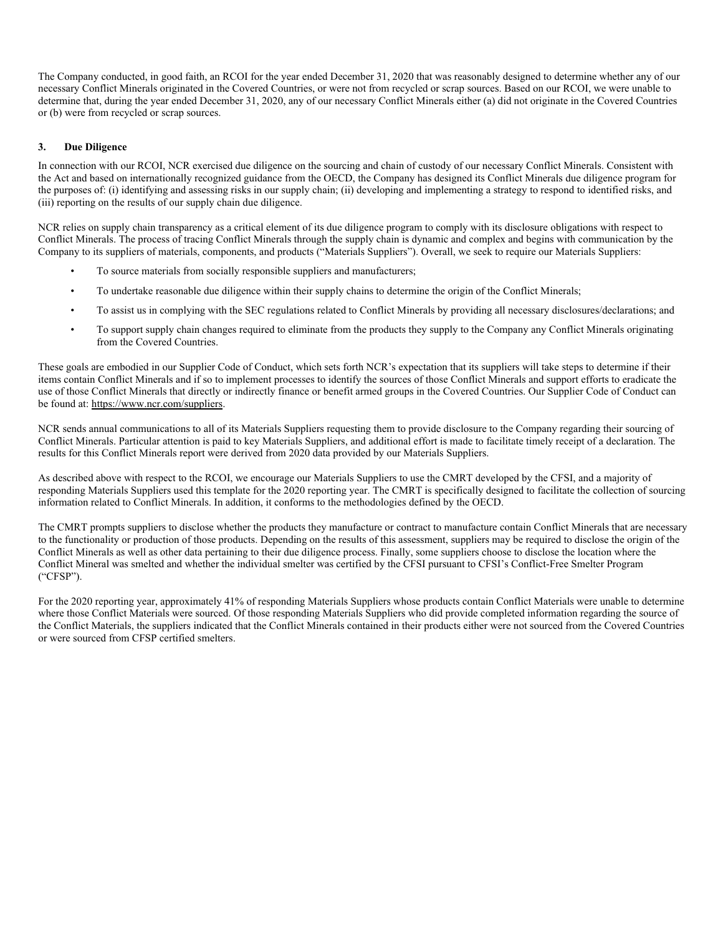The Company conducted, in good faith, an RCOI for the year ended December 31, 2020 that was reasonably designed to determine whether any of our necessary Conflict Minerals originated in the Covered Countries, or were not from recycled or scrap sources. Based on our RCOI, we were unable to determine that, during the year ended December 31, 2020, any of our necessary Conflict Minerals either (a) did not originate in the Covered Countries or (b) were from recycled or scrap sources.

#### **3. Due Diligence**

In connection with our RCOI, NCR exercised due diligence on the sourcing and chain of custody of our necessary Conflict Minerals. Consistent with the Act and based on internationally recognized guidance from the OECD, the Company has designed its Conflict Minerals due diligence program for the purposes of: (i) identifying and assessing risks in our supply chain; (ii) developing and implementing a strategy to respond to identified risks, and (iii) reporting on the results of our supply chain due diligence.

NCR relies on supply chain transparency as a critical element of its due diligence program to comply with its disclosure obligations with respect to Conflict Minerals. The process of tracing Conflict Minerals through the supply chain is dynamic and complex and begins with communication by the Company to its suppliers of materials, components, and products ("Materials Suppliers"). Overall, we seek to require our Materials Suppliers:

- To source materials from socially responsible suppliers and manufacturers;
- To undertake reasonable due diligence within their supply chains to determine the origin of the Conflict Minerals;
- To assist us in complying with the SEC regulations related to Conflict Minerals by providing all necessary disclosures/declarations; and
- To support supply chain changes required to eliminate from the products they supply to the Company any Conflict Minerals originating from the Covered Countries.

These goals are embodied in our Supplier Code of Conduct, which sets forth NCR's expectation that its suppliers will take steps to determine if their items contain Conflict Minerals and if so to implement processes to identify the sources of those Conflict Minerals and support efforts to eradicate the use of those Conflict Minerals that directly or indirectly finance or benefit armed groups in the Covered Countries. Our Supplier Code of Conduct can be found at: https://www.ncr.com/suppliers.

NCR sends annual communications to all of its Materials Suppliers requesting them to provide disclosure to the Company regarding their sourcing of Conflict Minerals. Particular attention is paid to key Materials Suppliers, and additional effort is made to facilitate timely receipt of a declaration. The results for this Conflict Minerals report were derived from 2020 data provided by our Materials Suppliers.

As described above with respect to the RCOI, we encourage our Materials Suppliers to use the CMRT developed by the CFSI, and a majority of responding Materials Suppliers used this template for the 2020 reporting year. The CMRT is specifically designed to facilitate the collection of sourcing information related to Conflict Minerals. In addition, it conforms to the methodologies defined by the OECD.

The CMRT prompts suppliers to disclose whether the products they manufacture or contract to manufacture contain Conflict Minerals that are necessary to the functionality or production of those products. Depending on the results of this assessment, suppliers may be required to disclose the origin of the Conflict Minerals as well as other data pertaining to their due diligence process. Finally, some suppliers choose to disclose the location where the Conflict Mineral was smelted and whether the individual smelter was certified by the CFSI pursuant to CFSI's Conflict-Free Smelter Program ("CFSP").

For the 2020 reporting year, approximately 41% of responding Materials Suppliers whose products contain Conflict Materials were unable to determine where those Conflict Materials were sourced. Of those responding Materials Suppliers who did provide completed information regarding the source of the Conflict Materials, the suppliers indicated that the Conflict Minerals contained in their products either were not sourced from the Covered Countries or were sourced from CFSP certified smelters.